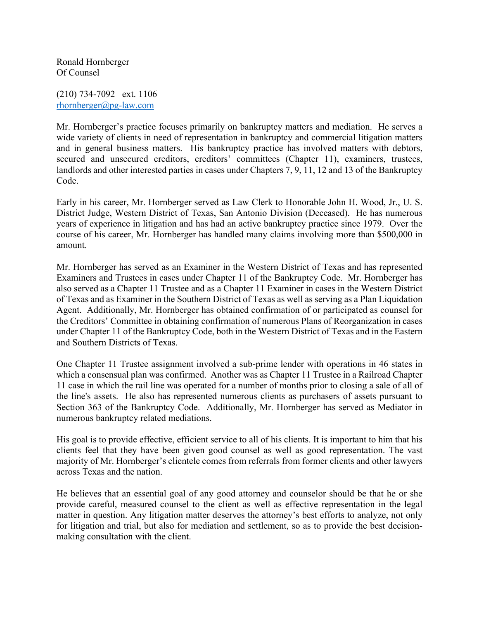Ronald Hornberger Of Counsel

(210) 734-7092 ext. 1106 rhornberger@pg-law.com

Mr. Hornberger's practice focuses primarily on bankruptcy matters and mediation. He serves a wide variety of clients in need of representation in bankruptcy and commercial litigation matters and in general business matters. His bankruptcy practice has involved matters with debtors, secured and unsecured creditors, creditors' committees (Chapter 11), examiners, trustees, landlords and other interested parties in cases under Chapters 7, 9, 11, 12 and 13 of the Bankruptcy Code.

Early in his career, Mr. Hornberger served as Law Clerk to Honorable John H. Wood, Jr., U. S. District Judge, Western District of Texas, San Antonio Division (Deceased). He has numerous years of experience in litigation and has had an active bankruptcy practice since 1979. Over the course of his career, Mr. Hornberger has handled many claims involving more than \$500,000 in amount.

Mr. Hornberger has served as an Examiner in the Western District of Texas and has represented Examiners and Trustees in cases under Chapter 11 of the Bankruptcy Code. Mr. Hornberger has also served as a Chapter 11 Trustee and as a Chapter 11 Examiner in cases in the Western District of Texas and as Examiner in the Southern District of Texas as well as serving as a Plan Liquidation Agent. Additionally, Mr. Hornberger has obtained confirmation of or participated as counsel for the Creditors' Committee in obtaining confirmation of numerous Plans of Reorganization in cases under Chapter 11 of the Bankruptcy Code, both in the Western District of Texas and in the Eastern and Southern Districts of Texas.

One Chapter 11 Trustee assignment involved a sub-prime lender with operations in 46 states in which a consensual plan was confirmed. Another was as Chapter 11 Trustee in a Railroad Chapter 11 case in which the rail line was operated for a number of months prior to closing a sale of all of the line's assets. He also has represented numerous clients as purchasers of assets pursuant to Section 363 of the Bankruptcy Code. Additionally, Mr. Hornberger has served as Mediator in numerous bankruptcy related mediations.

His goal is to provide effective, efficient service to all of his clients. It is important to him that his clients feel that they have been given good counsel as well as good representation. The vast majority of Mr. Hornberger's clientele comes from referrals from former clients and other lawyers across Texas and the nation.

He believes that an essential goal of any good attorney and counselor should be that he or she provide careful, measured counsel to the client as well as effective representation in the legal matter in question. Any litigation matter deserves the attorney's best efforts to analyze, not only for litigation and trial, but also for mediation and settlement, so as to provide the best decisionmaking consultation with the client.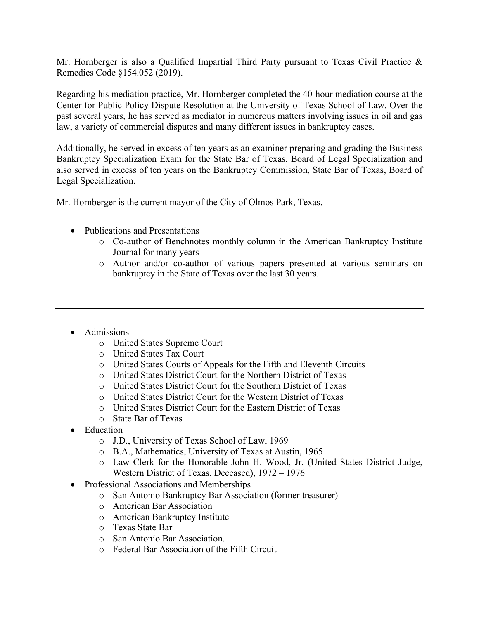Mr. Hornberger is also a Qualified Impartial Third Party pursuant to Texas Civil Practice & Remedies Code §154.052 (2019).

Regarding his mediation practice, Mr. Hornberger completed the 40-hour mediation course at the Center for Public Policy Dispute Resolution at the University of Texas School of Law. Over the past several years, he has served as mediator in numerous matters involving issues in oil and gas law, a variety of commercial disputes and many different issues in bankruptcy cases.

Additionally, he served in excess of ten years as an examiner preparing and grading the Business Bankruptcy Specialization Exam for the State Bar of Texas, Board of Legal Specialization and also served in excess of ten years on the Bankruptcy Commission, State Bar of Texas, Board of Legal Specialization.

Mr. Hornberger is the current mayor of the City of Olmos Park, Texas.

- Publications and Presentations
	- o Co-author of Benchnotes monthly column in the American Bankruptcy Institute Journal for many years
	- o Author and/or co-author of various papers presented at various seminars on bankruptcy in the State of Texas over the last 30 years.
- Admissions
	- o United States Supreme Court
	- o United States Tax Court
	- o United States Courts of Appeals for the Fifth and Eleventh Circuits
	- o United States District Court for the Northern District of Texas
	- o United States District Court for the Southern District of Texas
	- o United States District Court for the Western District of Texas
	- o United States District Court for the Eastern District of Texas
	- o State Bar of Texas
- Education
	- o J.D., University of Texas School of Law, 1969
	- o B.A., Mathematics, University of Texas at Austin, 1965
	- o Law Clerk for the Honorable John H. Wood, Jr. (United States District Judge, Western District of Texas, Deceased), 1972 – 1976
- Professional Associations and Memberships
	- o San Antonio Bankruptcy Bar Association (former treasurer)
	- o American Bar Association
	- o American Bankruptcy Institute
	- o Texas State Bar
	- o San Antonio Bar Association.
	- o Federal Bar Association of the Fifth Circuit